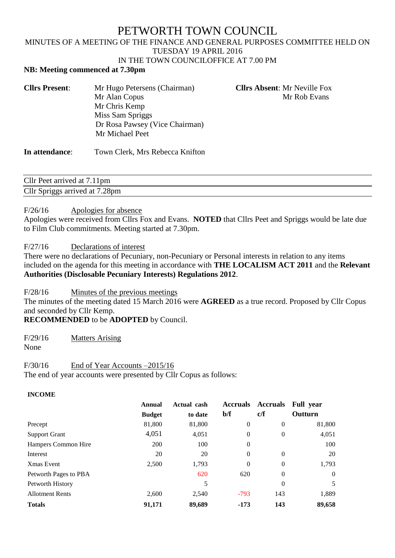# PETWORTH TOWN COUNCIL

# MINUTES OF A MEETING OF THE FINANCE AND GENERAL PURPOSES COMMITTEE HELD ON TUESDAY 19 APRIL 2016

### IN THE TOWN COUNCILOFFICE AT 7.00 PM

#### **NB: Meeting commenced at 7.30pm**

| <b>Cllrs Present:</b> | Mr Hugo Petersens (Chairman)   | <b>Cllrs Absent: Mr Neville Fox</b> |
|-----------------------|--------------------------------|-------------------------------------|
|                       | Mr Alan Copus                  | Mr Rob Evans                        |
|                       | Mr Chris Kemp                  |                                     |
|                       | Miss Sam Spriggs               |                                     |
|                       | Dr Rosa Pawsey (Vice Chairman) |                                     |
|                       | Mr Michael Peet                |                                     |
|                       |                                |                                     |

## **In attendance**: Town Clerk, Mrs Rebecca Knifton

Cllr Peet arrived at 7.11pm Cllr Spriggs arrived at 7.28pm

#### F/26/16 Apologies for absence

Apologies were received from Cllrs Fox and Evans. **NOTED** that Cllrs Peet and Spriggs would be late due to Film Club commitments. Meeting started at 7.30pm.

#### F/27/16 Declarations of interest

There were no declarations of Pecuniary, non-Pecuniary or Personal interests in relation to any items included on the agenda for this meeting in accordance with **THE LOCALISM ACT 2011** and the **Relevant Authorities (Disclosable Pecuniary Interests) Regulations 2012**.

F/28/16 Minutes of the previous meetings

The minutes of the meeting dated 15 March 2016 were **AGREED** as a true record. Proposed by Cllr Copus and seconded by Cllr Kemp.

**RECOMMENDED** to be **ADOPTED** by Council.

F/29/16 Matters Arising

None

## F/30/16 End of Year Accounts –2015/16

The end of year accounts were presented by Cllr Copus as follows:

| <b>INCOME</b>          |               |             |                 |                 |                  |
|------------------------|---------------|-------------|-----------------|-----------------|------------------|
|                        | <b>Annual</b> | Actual cash | <b>Accruals</b> | <b>Accruals</b> | <b>Full</b> year |
|                        | <b>Budget</b> | to date     | $b/f$           | c/f             | Outturn          |
| Precept                | 81,800        | 81,800      | $\theta$        | $\theta$        | 81,800           |
| <b>Support Grant</b>   | 4,051         | 4,051       | $\theta$        | $\theta$        | 4,051            |
| Hampers Common Hire    | 200           | 100         | $\Omega$        |                 | 100              |
| Interest               | 20            | 20          | $\Omega$        | $\theta$        | 20               |
| Xmas Event             | 2,500         | 1,793       | $\theta$        | $\mathbf{0}$    | 1,793            |
| Petworth Pages to PBA  |               | 620         | 620             | $\theta$        | $\overline{0}$   |
| Petworth History       |               | 5           |                 | $\theta$        | 5                |
| <b>Allotment Rents</b> | 2,600         | 2,540       | $-793$          | 143             | 1,889            |
| <b>Totals</b>          | 91,171        | 89,689      | $-173$          | 143             | 89,658           |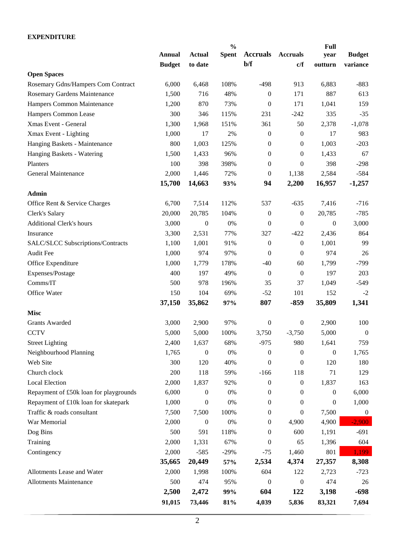#### **EXPENDITURE**

|                                        |               |                  | $\frac{0}{0}$ |                  |                  | <b>Full</b>      |                  |
|----------------------------------------|---------------|------------------|---------------|------------------|------------------|------------------|------------------|
|                                        | <b>Annual</b> | <b>Actual</b>    | <b>Spent</b>  | <b>Accruals</b>  | <b>Accruals</b>  | year             | <b>Budget</b>    |
|                                        | <b>Budget</b> | to date          |               | $b/f$            | c/f              | outturn          | variance         |
| <b>Open Spaces</b>                     |               |                  |               |                  |                  |                  |                  |
| Rosemary Gdns/Hampers Com Contract     | 6,000         | 6,468            | 108%          | $-498$           | 913              | 6,883            | $-883$           |
| Rosemary Gardens Maintenance           | 1,500         | 716              | 48%           | $\boldsymbol{0}$ | 171              | 887              | 613              |
| Hampers Common Maintenance             | 1,200         | 870              | 73%           | $\mathbf{0}$     | 171              | 1,041            | 159              |
| Hampers Common Lease                   | 300           | 346              | 115%          | 231              | $-242$           | 335              | $-35$            |
| Xmas Event - General                   | 1,300         | 1,968            | 151%          | 361              | 50               | 2,378            | $-1,078$         |
| Xmax Event - Lighting                  | 1,000         | 17               | 2%            | $\boldsymbol{0}$ | $\boldsymbol{0}$ | 17               | 983              |
| Hanging Baskets - Maintenance          | 800           | 1,003            | 125%          | $\boldsymbol{0}$ | $\boldsymbol{0}$ | 1,003            | $-203$           |
| Hanging Baskets - Watering             | 1,500         | 1,433            | 96%           | $\boldsymbol{0}$ | $\boldsymbol{0}$ | 1,433            | 67               |
| Planters                               | 100           | 398              | 398%          | $\boldsymbol{0}$ | $\boldsymbol{0}$ | 398              | $-298$           |
| General Maintenance                    | 2,000         | 1,446            | 72%           | $\boldsymbol{0}$ | 1,138            | 2,584            | $-584$           |
|                                        | 15,700        | 14,663           | 93%           | 94               | 2,200            | 16,957           | $-1,257$         |
| Admin                                  |               |                  |               |                  |                  |                  |                  |
| Office Rent & Service Charges          | 6,700         | 7,514            | 112%          | 537              | $-635$           | 7,416            | $-716$           |
| Clerk's Salary                         | 20,000        | 20,785           | 104%          | $\boldsymbol{0}$ | $\boldsymbol{0}$ | 20,785           | $-785$           |
| <b>Additional Clerk's hours</b>        | 3,000         | $\boldsymbol{0}$ | 0%            | $\overline{0}$   | $\theta$         | $\boldsymbol{0}$ | 3,000            |
| Insurance                              | 3,300         | 2,531            | 77%           | 327              | $-422$           | 2,436            | 864              |
| SALC/SLCC Subscriptions/Contracts      | 1,100         | 1,001            | 91%           | $\boldsymbol{0}$ | $\boldsymbol{0}$ | 1,001            | 99               |
| Audit Fee                              | 1,000         | 974              | 97%           | $\overline{0}$   | $\overline{0}$   | 974              | 26               |
| Office Expenditure                     | 1,000         | 1,779            | 178%          | $-40$            | 60               | 1,799            | $-799$           |
| Expenses/Postage                       | 400           | 197              | 49%           | $\boldsymbol{0}$ | $\boldsymbol{0}$ | 197              | 203              |
| Comms/IT                               | 500           | 978              | 196%          | 35               | 37               | 1,049            | $-549$           |
| Office Water                           | 150           | 104              | 69%           | $-52$            | 101              | 152              | $-2$             |
|                                        | 37,150        | 35,862           | 97%           | 807              | $-859$           | 35,809           | 1,341            |
| <b>Misc</b>                            |               |                  |               |                  |                  |                  |                  |
| <b>Grants Awarded</b>                  | 3,000         | 2,900            | 97%           | $\boldsymbol{0}$ | $\boldsymbol{0}$ | 2,900            | 100              |
| <b>CCTV</b>                            | 5,000         | 5,000            | 100%          | 3,750            | $-3,750$         | 5,000            | $\boldsymbol{0}$ |
| <b>Street Lighting</b>                 | 2,400         | 1,637            | 68%           | $-975$           | 980              | 1,641            | 759              |
| Neighbourhood Planning                 | 1,765         | $\boldsymbol{0}$ | 0%            | $\boldsymbol{0}$ | $\boldsymbol{0}$ | $\boldsymbol{0}$ | 1,765            |
| Web Site                               | 300           | 120              | 40%           | $\overline{0}$   | $\theta$         | 120              | 180              |
| Church clock                           | 200           | 118              | 59%           | $-166$           | 118              | 71               | 129              |
| <b>Local Election</b>                  | 2,000         | 1,837            | 92%           | $\boldsymbol{0}$ | $\boldsymbol{0}$ | 1,837            | 163              |
| Repayment of £50k loan for playgrounds | 6,000         | 0                | 0%            | $\boldsymbol{0}$ | $\boldsymbol{0}$ | $\boldsymbol{0}$ | 6,000            |
| Repayment of £10k loan for skatepark   | 1,000         | 0                | 0%            | $\theta$         | 0                | 0                | 1,000            |
| Traffic & roads consultant             | 7,500         | 7,500            | 100%          | 0                | $\boldsymbol{0}$ | 7,500            | $\boldsymbol{0}$ |
| War Memorial                           | 2,000         | $\boldsymbol{0}$ | 0%            | $\mathbf{0}$     | 4,900            | 4,900            | $-2,900$         |
| Dog Bins                               | 500           | 591              | 118%          | 0                | 600              | 1,191            | $-691$           |
|                                        |               |                  |               |                  |                  |                  |                  |
| Training                               | 2,000         | 1,331            | 67%           | $\theta$         | 65               | 1,396            | 604              |
| Contingency                            | 2,000         | $-585$           | $-29%$        | $-75$            | 1,460            | 801              | 1,199            |
|                                        | 35,665        | 20,449           | 57%           | 2,534            | 4,374            | 27,357           | 8,308            |
| Allotments Lease and Water             | 2,000         | 1,998            | 100%          | 604              | 122              | 2,723            | $-723$           |
| <b>Allotments Maintenance</b>          | 500           | 474              | 95%           | $\theta$         | $\theta$         | 474              | 26               |
|                                        | 2,500         | 2,472            | 99%           | 604              | 122              | 3,198            | $-698$           |
|                                        | 91,015        | 73,446           | 81%           | 4,039            | 5,836            | 83,321           | 7,694            |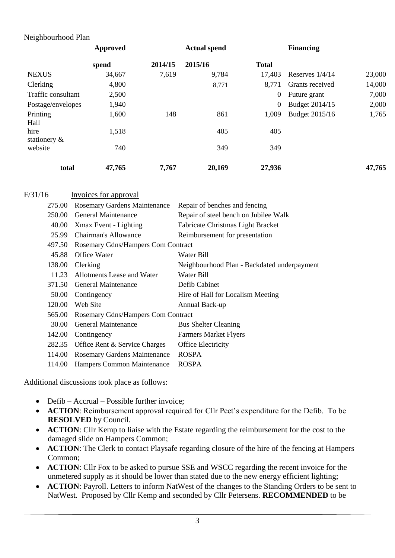## Neighbourhood Plan

|                            | Approved | <b>Actual spend</b> |         | <b>Financing</b> |                   |        |
|----------------------------|----------|---------------------|---------|------------------|-------------------|--------|
|                            | spend    | 2014/15             | 2015/16 | <b>Total</b>     |                   |        |
| <b>NEXUS</b>               | 34,667   | 7,619               | 9,784   | 17,403           | Reserves $1/4/14$ | 23,000 |
| Clerking                   | 4,800    |                     | 8,771   | 8,771            | Grants received   | 14,000 |
| Traffic consultant         | 2,500    |                     |         | $\boldsymbol{0}$ | Future grant      | 7,000  |
| Postage/envelopes          | 1,940    |                     |         | $\boldsymbol{0}$ | Budget 2014/15    | 2,000  |
| Printing<br>Hall           | 1,600    | 148                 | 861     | 1,009            | Budget 2015/16    | 1,765  |
| hire                       | 1,518    |                     | 405     | 405              |                   |        |
| stationery $\&$<br>website | 740      |                     | 349     | 349              |                   |        |
| total                      | 47,765   | 7,767               | 20,169  | 27,936           |                   | 47,765 |

| F/31/16 | Invoices for approval               |                                             |
|---------|-------------------------------------|---------------------------------------------|
| 275.00  | <b>Rosemary Gardens Maintenance</b> | Repair of benches and fencing               |
|         | 250.00 General Maintenance          | Repair of steel bench on Jubilee Walk       |
|         | 40.00 Xmax Event - Lighting         | Fabricate Christmas Light Bracket           |
|         | 25.99 Chairman's Allowance          | Reimbursement for presentation              |
| 497.50  | Rosemary Gdns/Hampers Com Contract  |                                             |
| 45.88   | <b>Office Water</b>                 | Water Bill                                  |
| 138.00  | Clerking                            | Neighbourhood Plan - Backdated underpayment |
|         | 11.23 Allotments Lease and Water    | Water Bill                                  |
|         | 371.50 General Maintenance          | Defib Cabinet                               |
| 50.00   | Contingency                         | Hire of Hall for Localism Meeting           |
| 120.00  | Web Site                            | Annual Back-up                              |
| 565.00  | Rosemary Gdns/Hampers Com Contract  |                                             |
| 30.00   | General Maintenance                 | <b>Bus Shelter Cleaning</b>                 |
| 142.00  | Contingency                         | <b>Farmers Market Flyers</b>                |
| 282.35  | Office Rent & Service Charges       | Office Electricity                          |
| 114.00  | <b>Rosemary Gardens Maintenance</b> | <b>ROSPA</b>                                |
| 114.00  | Hampers Common Maintenance          | <b>ROSPA</b>                                |
|         |                                     |                                             |

Additional discussions took place as follows:

- Defib Accrual Possible further invoice;
- **ACTION**: Reimbursement approval required for Cllr Peet's expenditure for the Defib. To be **RESOLVED** by Council.
- **ACTION**: Cllr Kemp to liaise with the Estate regarding the reimbursement for the cost to the damaged slide on Hampers Common;
- **ACTION**: The Clerk to contact Playsafe regarding closure of the hire of the fencing at Hampers Common;
- **ACTION**: Cllr Fox to be asked to pursue SSE and WSCC regarding the recent invoice for the unmetered supply as it should be lower than stated due to the new energy efficient lighting;
- **ACTION**: Payroll. Letters to inform NatWest of the changes to the Standing Orders to be sent to NatWest. Proposed by Cllr Kemp and seconded by Cllr Petersens. **RECOMMENDED** to be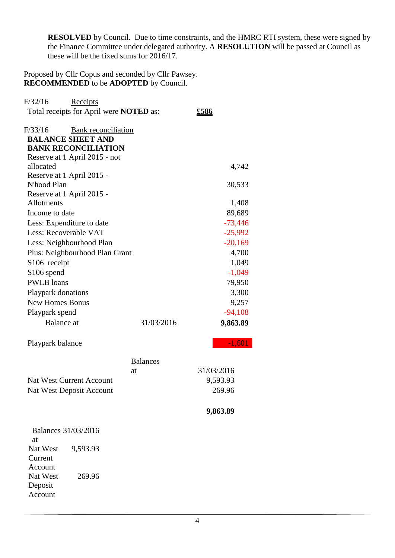**RESOLVED** by Council. Due to time constraints, and the HMRC RTI system, these were signed by the Finance Committee under delegated authority. A **RESOLUTION** will be passed at Council as these will be the fixed sums for 2016/17.

Proposed by Cllr Copus and seconded by Cllr Pawsey. **RECOMMENDED** to be **ADOPTED** by Council.

| F/32/16<br>Receipts                            |                 |             |
|------------------------------------------------|-----------------|-------------|
| Total receipts for April were <b>NOTED</b> as: |                 | <u>£586</u> |
| F/33/16<br><b>Bank</b> reconciliation          |                 |             |
| <b>BALANCE SHEET AND</b>                       |                 |             |
| <b>BANK RECONCILIATION</b>                     |                 |             |
| Reserve at 1 April 2015 - not                  |                 |             |
| allocated                                      |                 | 4,742       |
| Reserve at 1 April 2015 -                      |                 |             |
| N'hood Plan                                    |                 | 30,533      |
| Reserve at 1 April 2015 -                      |                 |             |
| <b>Allotments</b>                              |                 | 1,408       |
| Income to date                                 |                 | 89,689      |
| Less: Expenditure to date                      |                 | $-73,446$   |
| Less: Recoverable VAT                          |                 | $-25,992$   |
| Less: Neighbourhood Plan                       |                 | $-20,169$   |
| Plus: Neighbourhood Plan Grant                 |                 | 4,700       |
| S <sub>106</sub> receipt                       |                 | 1,049       |
| S106 spend                                     |                 | $-1,049$    |
| <b>PWLB</b> loans                              |                 | 79,950      |
| Playpark donations                             |                 | 3,300       |
| <b>New Homes Bonus</b>                         |                 | 9,257       |
| Playpark spend                                 |                 | $-94,108$   |
| <b>Balance</b> at                              | 31/03/2016      | 9,863.89    |
| Playpark balance                               |                 | $-1,601$    |
|                                                | <b>Balances</b> |             |
|                                                | at              | 31/03/2016  |
| <b>Nat West Current Account</b>                | 9,593.93        |             |
| Nat West Deposit Account                       |                 | 269.96      |
|                                                |                 | 9,863.89    |
| <b>Balances 31/03/2016</b><br>at               |                 |             |
| Nat West<br>9,593.93<br>Current                |                 |             |
| Account                                        |                 |             |
| Nat West<br>269.96<br>Deposit<br>Account       |                 |             |